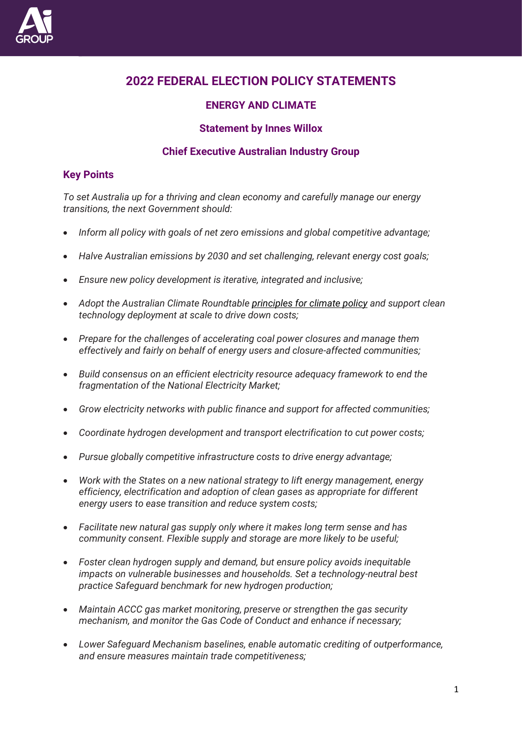

# **2022 FEDERAL ELECTION POLICY STATEMENTS**

# **ENERGY AND CLIMATE**

## **Statement by Innes Willox**

## **Chief Executive Australian Industry Group**

## **Key Points**

*To set Australia up for a thriving and clean economy and carefully manage our energy transitions, the next Government should:* 

- *Inform all policy with goals of net zero emissions and global competitive advantage;*
- *Halve Australian emissions by 2030 and set challenging, relevant energy cost goals;*
- *Ensure new policy development is iterative, integrated and inclusive;*
- *Adopt the Australian Climate Roundtable [principles for climate policy](https://www.australianclimateroundtable.org.au/wp-content/uploads/2020/11/Climate_roundtable_joint_principles-Updated_November_2020.pdf) and support clean technology deployment at scale to drive down costs;*
- *Prepare for the challenges of accelerating coal power closures and manage them effectively and fairly on behalf of energy users and closure-affected communities;*
- *Build consensus on an efficient electricity resource adequacy framework to end the fragmentation of the National Electricity Market;*
- *Grow electricity networks with public finance and support for affected communities;*
- *Coordinate hydrogen development and transport electrification to cut power costs;*
- *Pursue globally competitive infrastructure costs to drive energy advantage;*
- *Work with the States on a new national strategy to lift energy management, energy efficiency, electrification and adoption of clean gases as appropriate for different energy users to ease transition and reduce system costs;*
- *Facilitate new natural gas supply only where it makes long term sense and has community consent. Flexible supply and storage are more likely to be useful;*
- *Foster clean hydrogen supply and demand, but ensure policy avoids inequitable impacts on vulnerable businesses and households. Set a technology-neutral best practice Safeguard benchmark for new hydrogen production;*
- *Maintain ACCC gas market monitoring, preserve or strengthen the gas security mechanism, and monitor the Gas Code of Conduct and enhance if necessary;*
- *Lower Safeguard Mechanism baselines, enable automatic crediting of outperformance, and ensure measures maintain trade competitiveness;*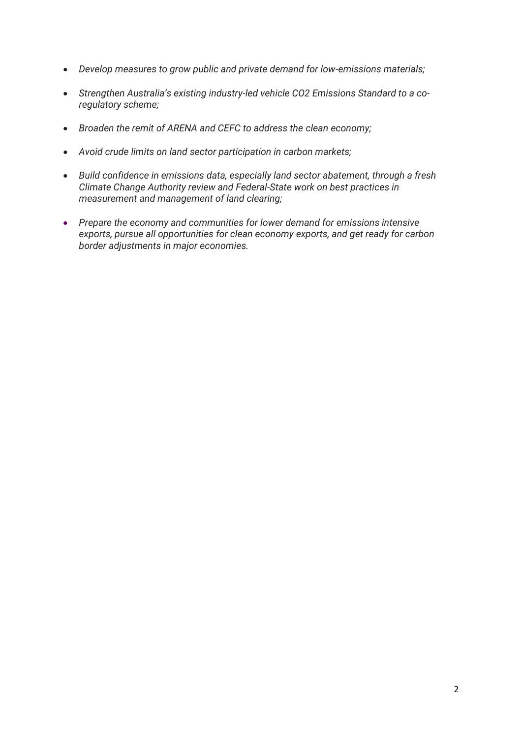- *Develop measures to grow public and private demand for low-emissions materials;*
- *Strengthen Australia's existing industry-led vehicle CO2 Emissions Standard to a coregulatory scheme;*
- *Broaden the remit of ARENA and CEFC to address the clean economy;*
- *Avoid crude limits on land sector participation in carbon markets;*
- *Build confidence in emissions data, especially land sector abatement, through a fresh Climate Change Authority review and Federal-State work on best practices in measurement and management of land clearing;*
- *Prepare the economy and communities for lower demand for emissions intensive exports, pursue all opportunities for clean economy exports, and get ready for carbon border adjustments in major economies.*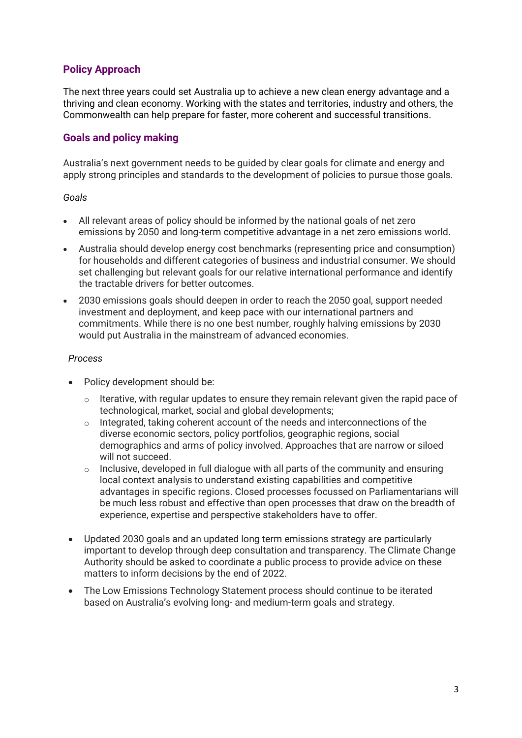## **Policy Approach**

The next three years could set Australia up to achieve a new clean energy advantage and a thriving and clean economy. Working with the states and territories, industry and others, the Commonwealth can help prepare for faster, more coherent and successful transitions.

## **Goals and policy making**

Australia's next government needs to be guided by clear goals for climate and energy and apply strong principles and standards to the development of policies to pursue those goals.

#### *Goals*

- All relevant areas of policy should be informed by the national goals of net zero emissions by 2050 and long-term competitive advantage in a net zero emissions world.
- Australia should develop energy cost benchmarks (representing price and consumption) for households and different categories of business and industrial consumer. We should set challenging but relevant goals for our relative international performance and identify the tractable drivers for better outcomes.
- 2030 emissions goals should deepen in order to reach the 2050 goal, support needed investment and deployment, and keep pace with our international partners and commitments. While there is no one best number, roughly halving emissions by 2030 would put Australia in the mainstream of advanced economies.

#### *Process*

- Policy development should be:
	- $\circ$  Iterative, with regular updates to ensure they remain relevant given the rapid pace of technological, market, social and global developments;
	- o Integrated, taking coherent account of the needs and interconnections of the diverse economic sectors, policy portfolios, geographic regions, social demographics and arms of policy involved. Approaches that are narrow or siloed will not succeed.
	- $\circ$  Inclusive, developed in full dialogue with all parts of the community and ensuring local context analysis to understand existing capabilities and competitive advantages in specific regions. Closed processes focussed on Parliamentarians will be much less robust and effective than open processes that draw on the breadth of experience, expertise and perspective stakeholders have to offer.
- Updated 2030 goals and an updated long term emissions strategy are particularly important to develop through deep consultation and transparency. The Climate Change Authority should be asked to coordinate a public process to provide advice on these matters to inform decisions by the end of 2022.
- The Low Emissions Technology Statement process should continue to be iterated based on Australia's evolving long- and medium-term goals and strategy.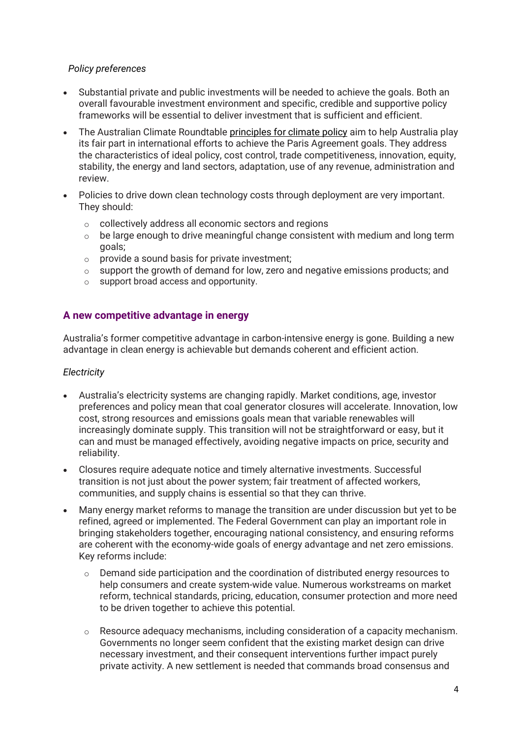#### *Policy preferences*

- Substantial private and public investments will be needed to achieve the goals. Both an overall favourable investment environment and specific, credible and supportive policy frameworks will be essential to deliver investment that is sufficient and efficient.
- The Australian Climate Roundtable [principles for climate policy](https://www.australianclimateroundtable.org.au/wp-content/uploads/2020/11/Climate_roundtable_joint_principles-Updated_November_2020.pdf) aim to help Australia play its fair part in international efforts to achieve the Paris Agreement goals. They address the characteristics of ideal policy, cost control, trade competitiveness, innovation, equity, stability, the energy and land sectors, adaptation, use of any revenue, administration and review.
- Policies to drive down clean technology costs through deployment are very important. They should:
	- o collectively address all economic sectors and regions
	- $\circ$  be large enough to drive meaningful change consistent with medium and long term goals;
	- $\circ$  provide a sound basis for private investment;
	- o support the growth of demand for low, zero and negative emissions products; and
	- o support broad access and opportunity.

## **A new competitive advantage in energy**

Australia's former competitive advantage in carbon-intensive energy is gone. Building a new advantage in clean energy is achievable but demands coherent and efficient action.

#### *Electricity*

- Australia's electricity systems are changing rapidly. Market conditions, age, investor preferences and policy mean that coal generator closures will accelerate. Innovation, low cost, strong resources and emissions goals mean that variable renewables will increasingly dominate supply. This transition will not be straightforward or easy, but it can and must be managed effectively, avoiding negative impacts on price, security and reliability.
- Closures require adequate notice and timely alternative investments. Successful transition is not just about the power system; fair treatment of affected workers, communities, and supply chains is essential so that they can thrive.
- Many energy market reforms to manage the transition are under discussion but yet to be refined, agreed or implemented. The Federal Government can play an important role in bringing stakeholders together, encouraging national consistency, and ensuring reforms are coherent with the economy-wide goals of energy advantage and net zero emissions. Key reforms include:
	- $\circ$  Demand side participation and the coordination of distributed energy resources to help consumers and create system-wide value. Numerous workstreams on market reform, technical standards, pricing, education, consumer protection and more need to be driven together to achieve this potential.
	- o Resource adequacy mechanisms, including consideration of a capacity mechanism. Governments no longer seem confident that the existing market design can drive necessary investment, and their consequent interventions further impact purely private activity. A new settlement is needed that commands broad consensus and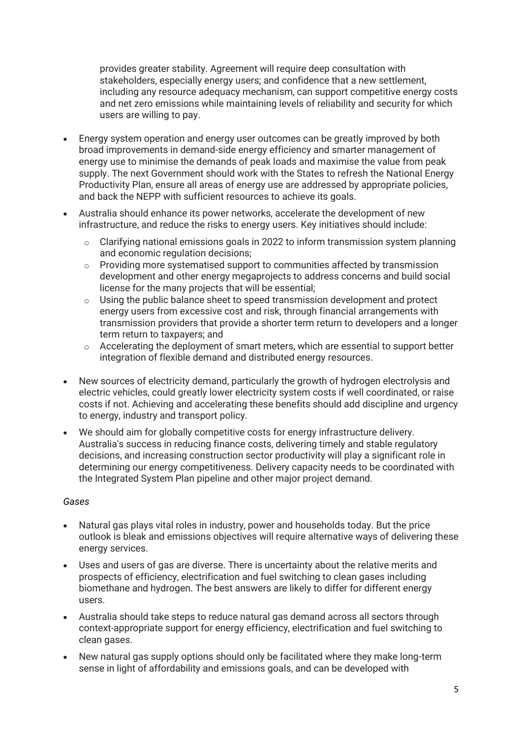provides greater stability. Agreement will require deep consultation with stakeholders, especially energy users; and confidence that a new settlement, including any resource adequacy mechanism, can support competitive energy costs and net zero emissions while maintaining levels of reliability and security for which users are willing to pay.

- Energy system operation and energy user outcomes can be greatly improved by both broad improvements in demand-side energy efficiency and smarter management of energy use to minimise the demands of peak loads and maximise the value from peak supply. The next Government should work with the States to refresh the National Energy Productivity Plan, ensure all areas of energy use are addressed by appropriate policies, and back the NEPP with sufficient resources to achieve its goals.
- Australia should enhance its power networks, accelerate the development of new infrastructure, and reduce the risks to energy users. Key initiatives should include:
	- $\circ$  Clarifying national emissions goals in 2022 to inform transmission system planning and economic regulation decisions;
	- o Providing more systematised support to communities affected by transmission development and other energy megaprojects to address concerns and build social license for the many projects that will be essential;
	- $\circ$  Using the public balance sheet to speed transmission development and protect energy users from excessive cost and risk, through financial arrangements with transmission providers that provide a shorter term return to developers and a longer term return to taxpayers; and
	- o Accelerating the deployment of smart meters, which are essential to support better integration of flexible demand and distributed energy resources.
- New sources of electricity demand, particularly the growth of hydrogen electrolysis and electric vehicles, could greatly lower electricity system costs if well coordinated, or raise costs if not. Achieving and accelerating these benefits should add discipline and urgency to energy, industry and transport policy.
- We should aim for globally competitive costs for energy infrastructure delivery. Australia's success in reducing finance costs, delivering timely and stable regulatory decisions, and increasing construction sector productivity will play a significant role in determining our energy competitiveness. Delivery capacity needs to be coordinated with the Integrated System Plan pipeline and other major project demand.

#### *Gases*

- Natural gas plays vital roles in industry, power and households today. But the price outlook is bleak and emissions objectives will require alternative ways of delivering these energy services.
- Uses and users of gas are diverse. There is uncertainty about the relative merits and prospects of efficiency, electrification and fuel switching to clean gases including biomethane and hydrogen. The best answers are likely to differ for different energy users.
- Australia should take steps to reduce natural gas demand across all sectors through context-appropriate support for energy efficiency, electrification and fuel switching to clean gases.
- New natural gas supply options should only be facilitated where they make long-term sense in light of affordability and emissions goals, and can be developed with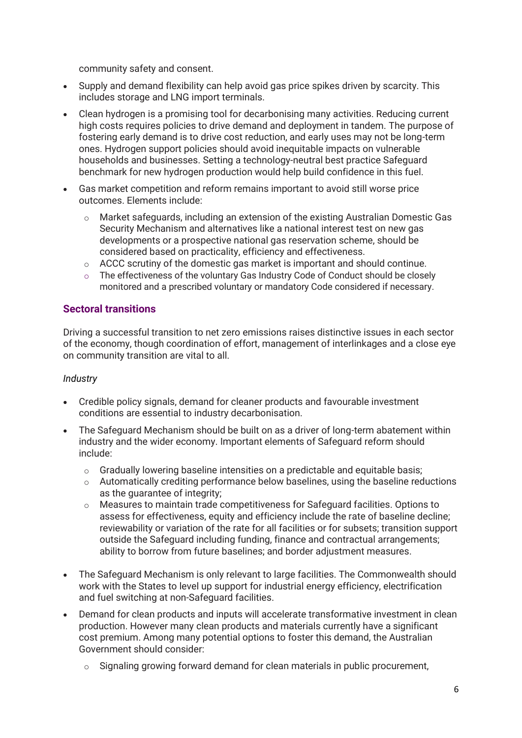community safety and consent.

- Supply and demand flexibility can help avoid gas price spikes driven by scarcity. This includes storage and LNG import terminals.
- Clean hydrogen is a promising tool for decarbonising many activities. Reducing current high costs requires policies to drive demand and deployment in tandem. The purpose of fostering early demand is to drive cost reduction, and early uses may not be long-term ones. Hydrogen support policies should avoid inequitable impacts on vulnerable households and businesses. Setting a technology-neutral best practice Safeguard benchmark for new hydrogen production would help build confidence in this fuel.
- Gas market competition and reform remains important to avoid still worse price outcomes. Elements include:
	- o Market safeguards, including an extension of the existing Australian Domestic Gas Security Mechanism and alternatives like a national interest test on new gas developments or a prospective national gas reservation scheme, should be considered based on practicality, efficiency and effectiveness.
	- $\circ$  ACCC scrutiny of the domestic gas market is important and should continue.
	- $\circ$  The effectiveness of the voluntary Gas Industry Code of Conduct should be closely monitored and a prescribed voluntary or mandatory Code considered if necessary.

## **Sectoral transitions**

Driving a successful transition to net zero emissions raises distinctive issues in each sector of the economy, though coordination of effort, management of interlinkages and a close eye on community transition are vital to all.

#### *Industry*

- Credible policy signals, demand for cleaner products and favourable investment conditions are essential to industry decarbonisation.
- The Safeguard Mechanism should be built on as a driver of long-term abatement within industry and the wider economy. Important elements of Safeguard reform should include:
	- o Gradually lowering baseline intensities on a predictable and equitable basis;
	- o Automatically crediting performance below baselines, using the baseline reductions as the guarantee of integrity;
	- $\circ$  Measures to maintain trade competitiveness for Safeguard facilities. Options to assess for effectiveness, equity and efficiency include the rate of baseline decline; reviewability or variation of the rate for all facilities or for subsets; transition support outside the Safeguard including funding, finance and contractual arrangements; ability to borrow from future baselines; and border adjustment measures.
- The Safeguard Mechanism is only relevant to large facilities. The Commonwealth should work with the States to level up support for industrial energy efficiency, electrification and fuel switching at non-Safeguard facilities.
- Demand for clean products and inputs will accelerate transformative investment in clean production. However many clean products and materials currently have a significant cost premium. Among many potential options to foster this demand, the Australian Government should consider:
	- Signaling growing forward demand for clean materials in public procurement,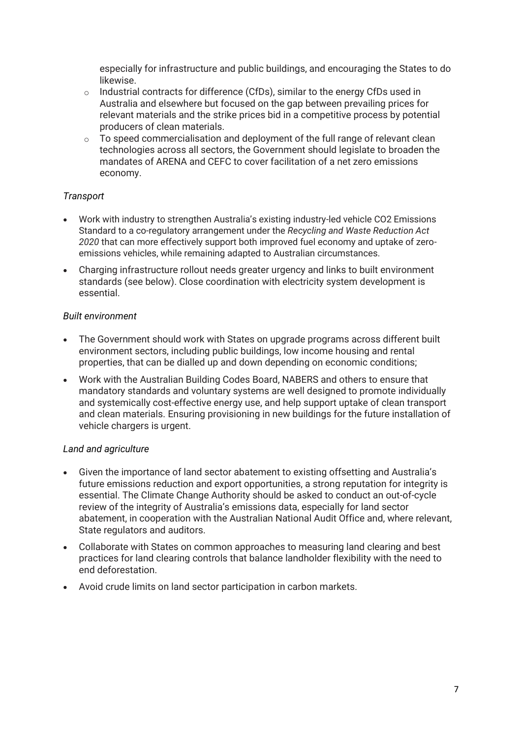especially for infrastructure and public buildings, and encouraging the States to do likewise.

- o Industrial contracts for difference (CfDs), similar to the energy CfDs used in Australia and elsewhere but focused on the gap between prevailing prices for relevant materials and the strike prices bid in a competitive process by potential producers of clean materials.
- o To speed commercialisation and deployment of the full range of relevant clean technologies across all sectors, the Government should legislate to broaden the mandates of ARENA and CEFC to cover facilitation of a net zero emissions economy.

#### *Transport*

- Work with industry to strengthen Australia's existing industry-led vehicle CO2 Emissions Standard to a co-regulatory arrangement under the *Recycling and Waste Reduction Act 2020* that can more effectively support both improved fuel economy and uptake of zeroemissions vehicles, while remaining adapted to Australian circumstances.
- Charging infrastructure rollout needs greater urgency and links to built environment standards (see below). Close coordination with electricity system development is essential.

#### *Built environment*

- The Government should work with States on upgrade programs across different built environment sectors, including public buildings, low income housing and rental properties, that can be dialled up and down depending on economic conditions;
- Work with the Australian Building Codes Board, NABERS and others to ensure that mandatory standards and voluntary systems are well designed to promote individually and systemically cost-effective energy use, and help support uptake of clean transport and clean materials. Ensuring provisioning in new buildings for the future installation of vehicle chargers is urgent.

## *Land and agriculture*

- Given the importance of land sector abatement to existing offsetting and Australia's future emissions reduction and export opportunities, a strong reputation for integrity is essential. The Climate Change Authority should be asked to conduct an out-of-cycle review of the integrity of Australia's emissions data, especially for land sector abatement, in cooperation with the Australian National Audit Office and, where relevant, State regulators and auditors.
- Collaborate with States on common approaches to measuring land clearing and best practices for land clearing controls that balance landholder flexibility with the need to end deforestation.
- Avoid crude limits on land sector participation in carbon markets.